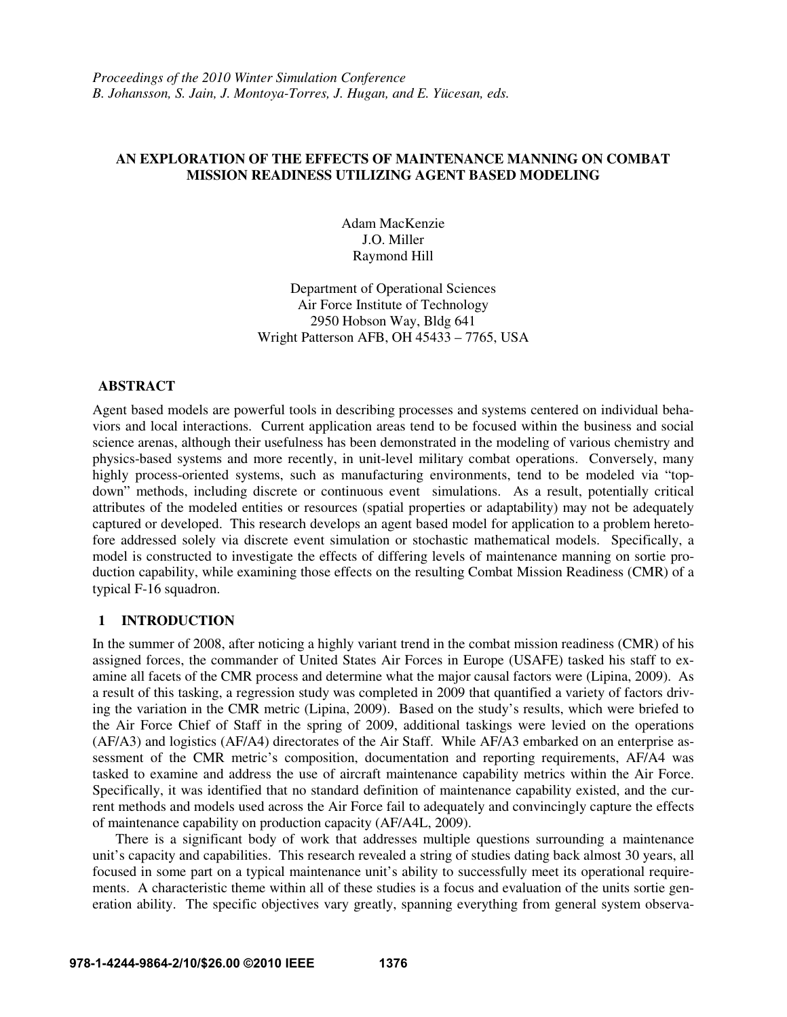# **AN EXPLORATION OF THE EFFECTS OF MAINTENANCE MANNING ON COMBAT MISSION READINESS UTILIZING AGENT BASED MODELING**

Adam MacKenzie J.O. Miller Raymond Hill

Department of Operational Sciences Air Force Institute of Technology 2950 Hobson Way, Bldg 641 Wright Patterson AFB, OH 45433 – 7765, USA

### **ABSTRACT**

Agent based models are powerful tools in describing processes and systems centered on individual behaviors and local interactions. Current application areas tend to be focused within the business and social science arenas, although their usefulness has been demonstrated in the modeling of various chemistry and physics-based systems and more recently, in unit-level military combat operations. Conversely, many highly process-oriented systems, such as manufacturing environments, tend to be modeled via "topdown" methods, including discrete or continuous event simulations. As a result, potentially critical attributes of the modeled entities or resources (spatial properties or adaptability) may not be adequately captured or developed. This research develops an agent based model for application to a problem heretofore addressed solely via discrete event simulation or stochastic mathematical models. Specifically, a model is constructed to investigate the effects of differing levels of maintenance manning on sortie production capability, while examining those effects on the resulting Combat Mission Readiness (CMR) of a typical F-16 squadron.

### **1 INTRODUCTION**

In the summer of 2008, after noticing a highly variant trend in the combat mission readiness (CMR) of his assigned forces, the commander of United States Air Forces in Europe (USAFE) tasked his staff to examine all facets of the CMR process and determine what the major causal factors were (Lipina, 2009). As a result of this tasking, a regression study was completed in 2009 that quantified a variety of factors driving the variation in the CMR metric (Lipina, 2009). Based on the study's results, which were briefed to the Air Force Chief of Staff in the spring of 2009, additional taskings were levied on the operations (AF/A3) and logistics (AF/A4) directorates of the Air Staff. While AF/A3 embarked on an enterprise assessment of the CMR metric's composition, documentation and reporting requirements, AF/A4 was tasked to examine and address the use of aircraft maintenance capability metrics within the Air Force. Specifically, it was identified that no standard definition of maintenance capability existed, and the current methods and models used across the Air Force fail to adequately and convincingly capture the effects of maintenance capability on production capacity (AF/A4L, 2009).

 There is a significant body of work that addresses multiple questions surrounding a maintenance unit's capacity and capabilities. This research revealed a string of studies dating back almost 30 years, all focused in some part on a typical maintenance unit's ability to successfully meet its operational requirements. A characteristic theme within all of these studies is a focus and evaluation of the units sortie generation ability. The specific objectives vary greatly, spanning everything from general system observa-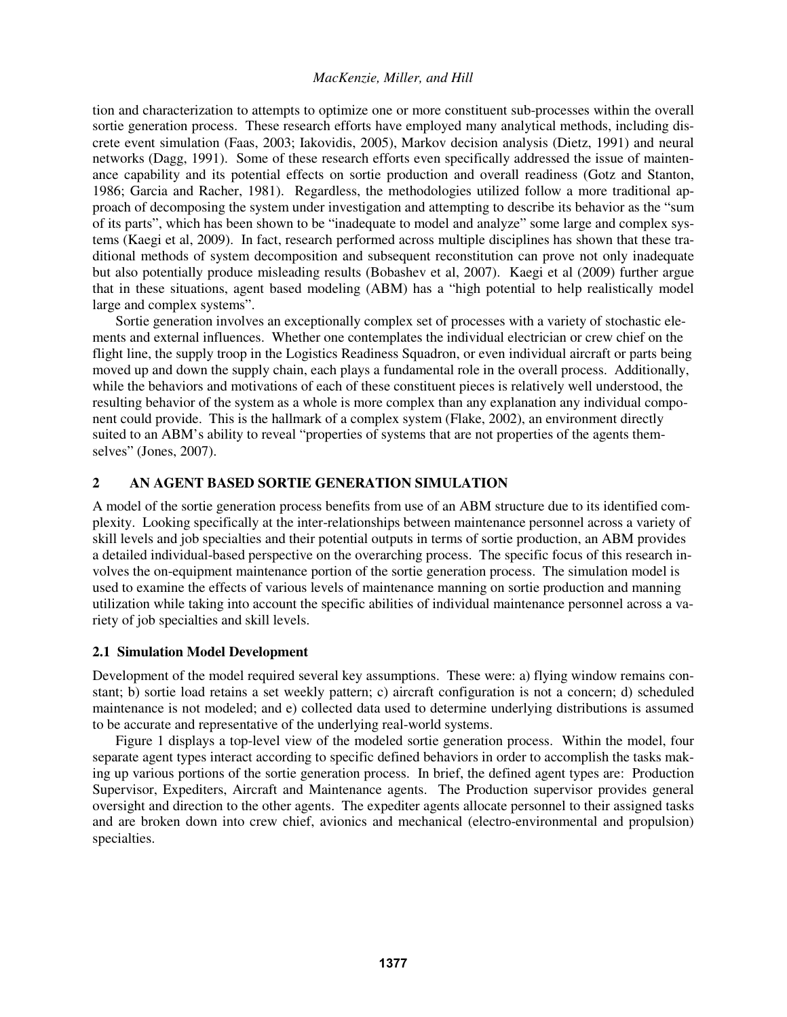tion and characterization to attempts to optimize one or more constituent sub-processes within the overall sortie generation process. These research efforts have employed many analytical methods, including discrete event simulation (Faas, 2003; Iakovidis, 2005), Markov decision analysis (Dietz, 1991) and neural networks (Dagg, 1991). Some of these research efforts even specifically addressed the issue of maintenance capability and its potential effects on sortie production and overall readiness (Gotz and Stanton, 1986; Garcia and Racher, 1981). Regardless, the methodologies utilized follow a more traditional approach of decomposing the system under investigation and attempting to describe its behavior as the "sum of its parts", which has been shown to be "inadequate to model and analyze" some large and complex systems (Kaegi et al, 2009). In fact, research performed across multiple disciplines has shown that these traditional methods of system decomposition and subsequent reconstitution can prove not only inadequate but also potentially produce misleading results (Bobashev et al, 2007). Kaegi et al (2009) further argue that in these situations, agent based modeling (ABM) has a "high potential to help realistically model large and complex systems".

Sortie generation involves an exceptionally complex set of processes with a variety of stochastic elements and external influences. Whether one contemplates the individual electrician or crew chief on the flight line, the supply troop in the Logistics Readiness Squadron, or even individual aircraft or parts being moved up and down the supply chain, each plays a fundamental role in the overall process. Additionally, while the behaviors and motivations of each of these constituent pieces is relatively well understood, the resulting behavior of the system as a whole is more complex than any explanation any individual component could provide. This is the hallmark of a complex system (Flake, 2002), an environment directly suited to an ABM's ability to reveal "properties of systems that are not properties of the agents themselves" (Jones, 2007).

### **2 AN AGENT BASED SORTIE GENERATION SIMULATION**

A model of the sortie generation process benefits from use of an ABM structure due to its identified complexity. Looking specifically at the inter-relationships between maintenance personnel across a variety of skill levels and job specialties and their potential outputs in terms of sortie production, an ABM provides a detailed individual-based perspective on the overarching process. The specific focus of this research involves the on-equipment maintenance portion of the sortie generation process. The simulation model is used to examine the effects of various levels of maintenance manning on sortie production and manning utilization while taking into account the specific abilities of individual maintenance personnel across a variety of job specialties and skill levels.

### **2.1 Simulation Model Development**

Development of the model required several key assumptions. These were: a) flying window remains constant; b) sortie load retains a set weekly pattern; c) aircraft configuration is not a concern; d) scheduled maintenance is not modeled; and e) collected data used to determine underlying distributions is assumed to be accurate and representative of the underlying real-world systems.

Figure 1 displays a top-level view of the modeled sortie generation process. Within the model, four separate agent types interact according to specific defined behaviors in order to accomplish the tasks making up various portions of the sortie generation process. In brief, the defined agent types are: Production Supervisor, Expediters, Aircraft and Maintenance agents. The Production supervisor provides general oversight and direction to the other agents. The expediter agents allocate personnel to their assigned tasks and are broken down into crew chief, avionics and mechanical (electro-environmental and propulsion) specialties.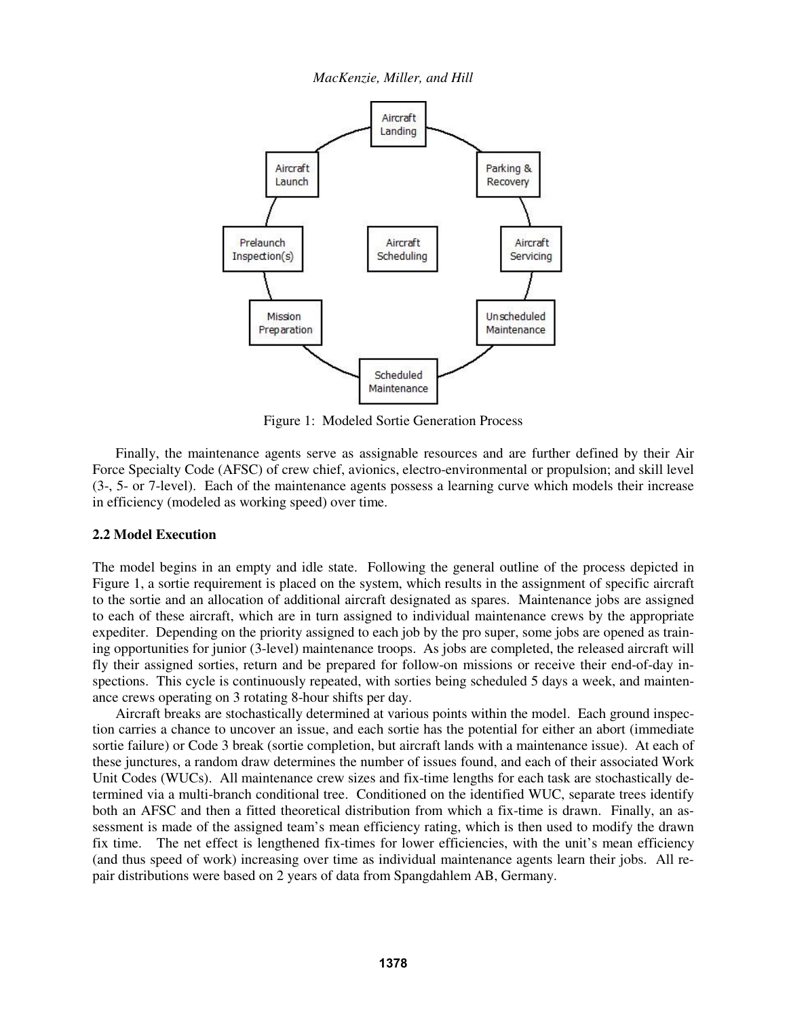

Figure 1: Modeled Sortie Generation Process

 Finally, the maintenance agents serve as assignable resources and are further defined by their Air Force Specialty Code (AFSC) of crew chief, avionics, electro-environmental or propulsion; and skill level (3-, 5- or 7-level). Each of the maintenance agents possess a learning curve which models their increase in efficiency (modeled as working speed) over time.

#### **2.2 Model Execution**

The model begins in an empty and idle state. Following the general outline of the process depicted in Figure 1, a sortie requirement is placed on the system, which results in the assignment of specific aircraft to the sortie and an allocation of additional aircraft designated as spares. Maintenance jobs are assigned to each of these aircraft, which are in turn assigned to individual maintenance crews by the appropriate expediter. Depending on the priority assigned to each job by the pro super, some jobs are opened as training opportunities for junior (3-level) maintenance troops. As jobs are completed, the released aircraft will fly their assigned sorties, return and be prepared for follow-on missions or receive their end-of-day inspections. This cycle is continuously repeated, with sorties being scheduled 5 days a week, and maintenance crews operating on 3 rotating 8-hour shifts per day.

 Aircraft breaks are stochastically determined at various points within the model. Each ground inspection carries a chance to uncover an issue, and each sortie has the potential for either an abort (immediate sortie failure) or Code 3 break (sortie completion, but aircraft lands with a maintenance issue). At each of these junctures, a random draw determines the number of issues found, and each of their associated Work Unit Codes (WUCs). All maintenance crew sizes and fix-time lengths for each task are stochastically determined via a multi-branch conditional tree. Conditioned on the identified WUC, separate trees identify both an AFSC and then a fitted theoretical distribution from which a fix-time is drawn. Finally, an assessment is made of the assigned team's mean efficiency rating, which is then used to modify the drawn fix time. The net effect is lengthened fix-times for lower efficiencies, with the unit's mean efficiency (and thus speed of work) increasing over time as individual maintenance agents learn their jobs. All repair distributions were based on 2 years of data from Spangdahlem AB, Germany.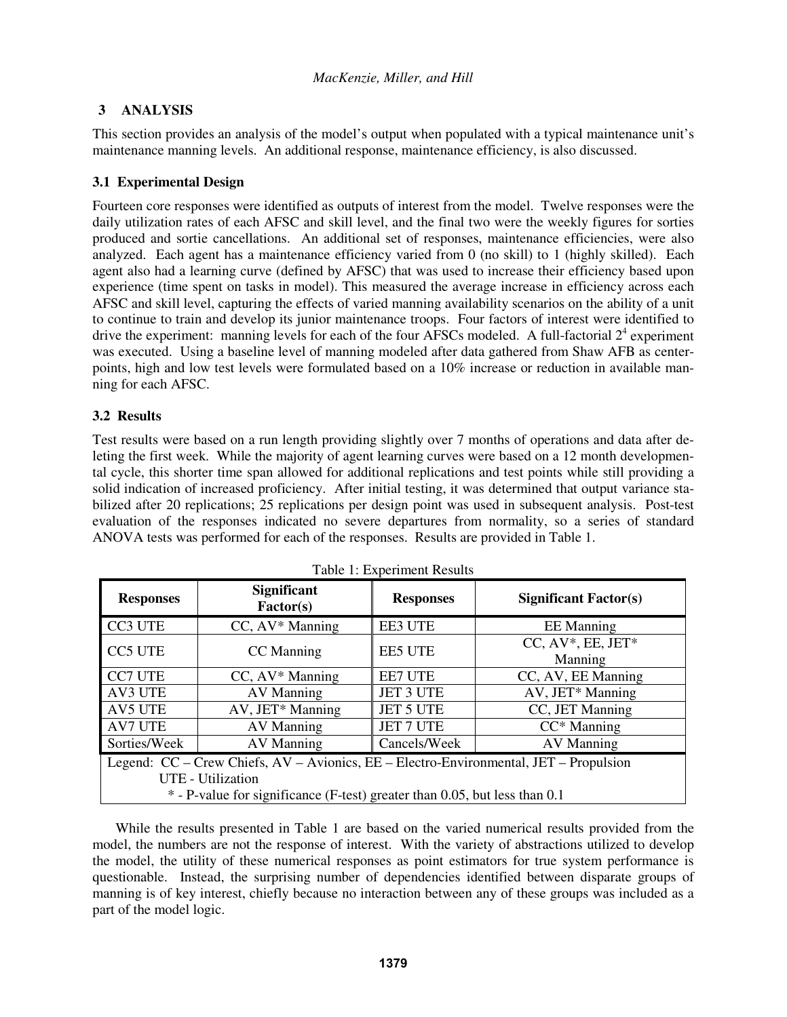# **3 ANALYSIS**

This section provides an analysis of the model's output when populated with a typical maintenance unit's maintenance manning levels. An additional response, maintenance efficiency, is also discussed.

# **3.1 Experimental Design**

Fourteen core responses were identified as outputs of interest from the model. Twelve responses were the daily utilization rates of each AFSC and skill level, and the final two were the weekly figures for sorties produced and sortie cancellations. An additional set of responses, maintenance efficiencies, were also analyzed. Each agent has a maintenance efficiency varied from 0 (no skill) to 1 (highly skilled). Each agent also had a learning curve (defined by AFSC) that was used to increase their efficiency based upon experience (time spent on tasks in model). This measured the average increase in efficiency across each AFSC and skill level, capturing the effects of varied manning availability scenarios on the ability of a unit to continue to train and develop its junior maintenance troops. Four factors of interest were identified to drive the experiment: manning levels for each of the four AFSCs modeled. A full-factorial  $2<sup>4</sup>$  experiment was executed. Using a baseline level of manning modeled after data gathered from Shaw AFB as centerpoints, high and low test levels were formulated based on a 10% increase or reduction in available manning for each AFSC.

# **3.2 Results**

Test results were based on a run length providing slightly over 7 months of operations and data after deleting the first week. While the majority of agent learning curves were based on a 12 month developmental cycle, this shorter time span allowed for additional replications and test points while still providing a solid indication of increased proficiency. After initial testing, it was determined that output variance stabilized after 20 replications; 25 replications per design point was used in subsequent analysis. Post-test evaluation of the responses indicated no severe departures from normality, so a series of standard ANOVA tests was performed for each of the responses. Results are provided in Table 1.

| <b>Responses</b>                                                                                                                                                                                | <b>Significant</b><br>Factor(s) | <b>Responses</b> | <b>Significant Factor(s)</b>     |
|-------------------------------------------------------------------------------------------------------------------------------------------------------------------------------------------------|---------------------------------|------------------|----------------------------------|
| CC3 UTE                                                                                                                                                                                         | CC, AV* Manning                 | <b>EE3 UTE</b>   | <b>EE</b> Manning                |
| <b>CC5 UTE</b>                                                                                                                                                                                  | CC Manning                      | <b>EE5 UTE</b>   | $CC, AV^*$ , EE, JET*<br>Manning |
| <b>CC7 UTE</b>                                                                                                                                                                                  | $CC, AV^*$ Manning              | <b>EE7 UTE</b>   | CC, AV, EE Manning               |
| AV3 UTE                                                                                                                                                                                         | <b>AV Manning</b>               | <b>JET 3 UTE</b> | AV, JET* Manning                 |
| <b>AV5 UTE</b>                                                                                                                                                                                  | AV, JET* Manning                | JET 5 UTE        | CC, JET Manning                  |
| <b>AV7 UTE</b>                                                                                                                                                                                  | AV Manning                      | JET 7 UTE        | $CC^*$ Manning                   |
| Sorties/Week                                                                                                                                                                                    | AV Manning                      | Cancels/Week     | <b>AV Manning</b>                |
| Legend: CC – Crew Chiefs, AV – Avionics, EE – Electro-Environmental, JET – Propulsion<br><b>UTE</b> - Utilization<br>* - P-value for significance (F-test) greater than 0.05, but less than 0.1 |                                 |                  |                                  |

 While the results presented in Table 1 are based on the varied numerical results provided from the model, the numbers are not the response of interest. With the variety of abstractions utilized to develop the model, the utility of these numerical responses as point estimators for true system performance is questionable. Instead, the surprising number of dependencies identified between disparate groups of manning is of key interest, chiefly because no interaction between any of these groups was included as a part of the model logic.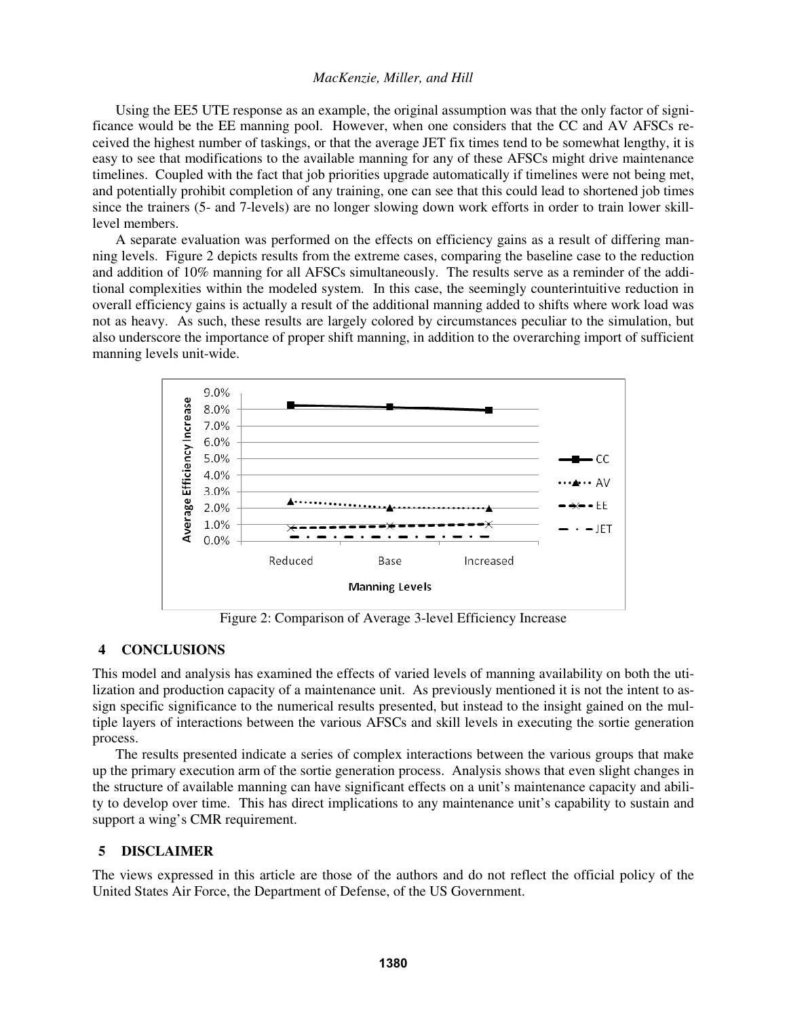Using the EE5 UTE response as an example, the original assumption was that the only factor of significance would be the EE manning pool. However, when one considers that the CC and AV AFSCs received the highest number of taskings, or that the average JET fix times tend to be somewhat lengthy, it is easy to see that modifications to the available manning for any of these AFSCs might drive maintenance timelines. Coupled with the fact that job priorities upgrade automatically if timelines were not being met, and potentially prohibit completion of any training, one can see that this could lead to shortened job times since the trainers (5- and 7-levels) are no longer slowing down work efforts in order to train lower skilllevel members.

 A separate evaluation was performed on the effects on efficiency gains as a result of differing manning levels. Figure 2 depicts results from the extreme cases, comparing the baseline case to the reduction and addition of 10% manning for all AFSCs simultaneously. The results serve as a reminder of the additional complexities within the modeled system. In this case, the seemingly counterintuitive reduction in overall efficiency gains is actually a result of the additional manning added to shifts where work load was not as heavy. As such, these results are largely colored by circumstances peculiar to the simulation, but also underscore the importance of proper shift manning, in addition to the overarching import of sufficient manning levels unit-wide.



Figure 2: Comparison of Average 3-level Efficiency Increase

#### **4 CONCLUSIONS**

This model and analysis has examined the effects of varied levels of manning availability on both the utilization and production capacity of a maintenance unit. As previously mentioned it is not the intent to assign specific significance to the numerical results presented, but instead to the insight gained on the multiple layers of interactions between the various AFSCs and skill levels in executing the sortie generation process.

 The results presented indicate a series of complex interactions between the various groups that make up the primary execution arm of the sortie generation process. Analysis shows that even slight changes in the structure of available manning can have significant effects on a unit's maintenance capacity and ability to develop over time. This has direct implications to any maintenance unit's capability to sustain and support a wing's CMR requirement.

#### **5 DISCLAIMER**

The views expressed in this article are those of the authors and do not reflect the official policy of the United States Air Force, the Department of Defense, of the US Government.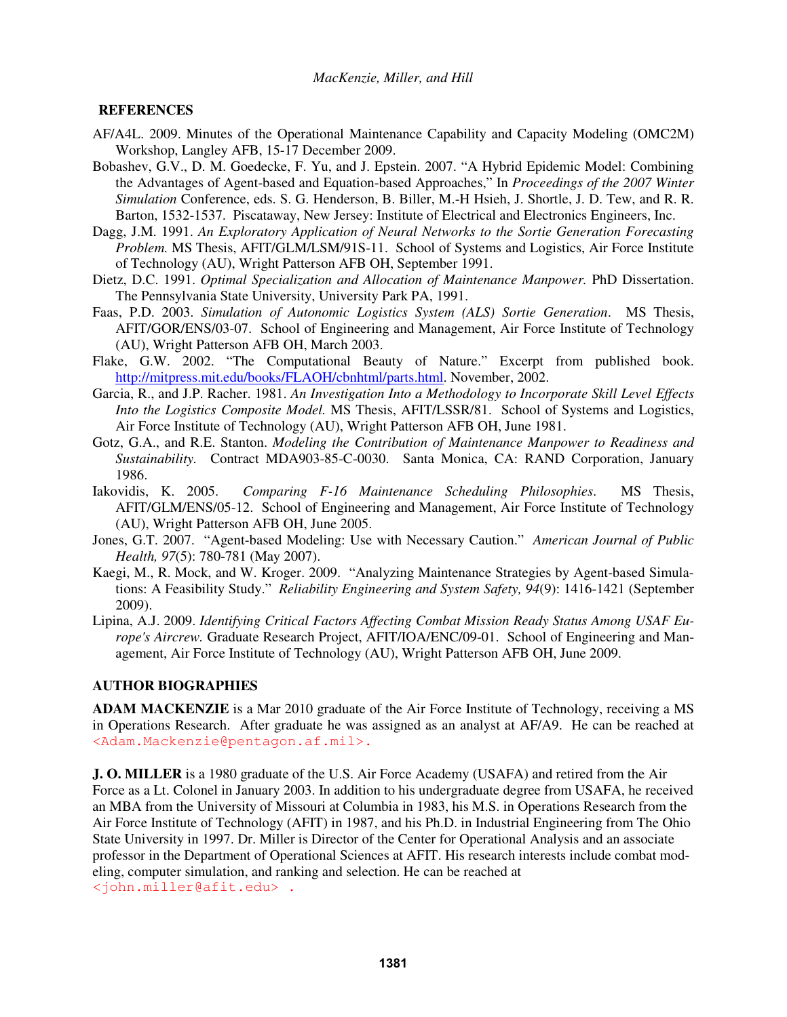## **REFERENCES**

- AF/A4L. 2009. Minutes of the Operational Maintenance Capability and Capacity Modeling (OMC2M) Workshop, Langley AFB, 15-17 December 2009.
- Bobashev, G.V., D. M. Goedecke, F. Yu, and J. Epstein. 2007. "A Hybrid Epidemic Model: Combining the Advantages of Agent-based and Equation-based Approaches," In *Proceedings of the 2007 Winter Simulation* Conference, eds. S. G. Henderson, B. Biller, M.-H Hsieh, J. Shortle, J. D. Tew, and R. R. Barton, 1532-1537. Piscataway, New Jersey: Institute of Electrical and Electronics Engineers, Inc.
- Dagg, J.M. 1991. *An Exploratory Application of Neural Networks to the Sortie Generation Forecasting Problem.* MS Thesis, AFIT/GLM/LSM/91S-11. School of Systems and Logistics, Air Force Institute of Technology (AU), Wright Patterson AFB OH, September 1991.
- Dietz, D.C. 1991. *Optimal Specialization and Allocation of Maintenance Manpower.* PhD Dissertation. The Pennsylvania State University, University Park PA, 1991.
- Faas, P.D. 2003. *Simulation of Autonomic Logistics System (ALS) Sortie Generation*. MS Thesis, AFIT/GOR/ENS/03-07. School of Engineering and Management, Air Force Institute of Technology (AU), Wright Patterson AFB OH, March 2003.
- Flake, G.W. 2002. "The Computational Beauty of Nature." Excerpt from published book. http://mitpress.mit.edu/books/FLAOH/cbnhtml/parts.html. November, 2002.
- Garcia, R., and J.P. Racher. 1981. *An Investigation Into a Methodology to Incorporate Skill Level Effects Into the Logistics Composite Model.* MS Thesis, AFIT/LSSR/81. School of Systems and Logistics, Air Force Institute of Technology (AU), Wright Patterson AFB OH, June 1981.
- Gotz, G.A., and R.E. Stanton. *Modeling the Contribution of Maintenance Manpower to Readiness and Sustainability.* Contract MDA903-85-C-0030. Santa Monica, CA: RAND Corporation, January 1986.
- Iakovidis, K. 2005. *Comparing F-16 Maintenance Scheduling Philosophies*. MS Thesis, AFIT/GLM/ENS/05-12. School of Engineering and Management, Air Force Institute of Technology (AU), Wright Patterson AFB OH, June 2005.
- Jones, G.T. 2007. "Agent-based Modeling: Use with Necessary Caution." *American Journal of Public Health, 97*(5): 780-781 (May 2007).
- Kaegi, M., R. Mock, and W. Kroger. 2009. "Analyzing Maintenance Strategies by Agent-based Simulations: A Feasibility Study." *Reliability Engineering and System Safety, 94*(9): 1416-1421 (September 2009).
- Lipina, A.J. 2009. *Identifying Critical Factors Affecting Combat Mission Ready Status Among USAF Europe's Aircrew.* Graduate Research Project, AFIT/IOA/ENC/09-01. School of Engineering and Management, Air Force Institute of Technology (AU), Wright Patterson AFB OH, June 2009.

### **AUTHOR BIOGRAPHIES**

**ADAM MACKENZIE** is a Mar 2010 graduate of the Air Force Institute of Technology, receiving a MS in Operations Research. After graduate he was assigned as an analyst at AF/A9. He can be reached at <Adam.Mackenzie@pentagon.af.mil>.

**J. O. MILLER** is a 1980 graduate of the U.S. Air Force Academy (USAFA) and retired from the Air Force as a Lt. Colonel in January 2003. In addition to his undergraduate degree from USAFA, he received an MBA from the University of Missouri at Columbia in 1983, his M.S. in Operations Research from the Air Force Institute of Technology (AFIT) in 1987, and his Ph.D. in Industrial Engineering from The Ohio State University in 1997. Dr. Miller is Director of the Center for Operational Analysis and an associate professor in the Department of Operational Sciences at AFIT. His research interests include combat modeling, computer simulation, and ranking and selection. He can be reached at <john.miller@afit.edu> .